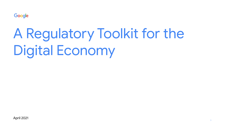Google

# A Regulatory Toolkit for the Digital Economy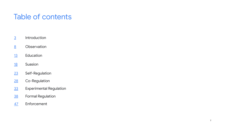# Table of contents

- Introduction
- Observation
- Education
- Suasion
- Self-Regulation
- Co-Regulation
- Experimental Regulation
- Formal Regulation
- Enforcement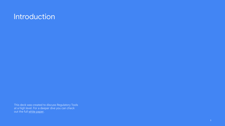# <span id="page-2-0"></span>**Introduction**

This deck was created to discuss Regulatory Tools at a high level. For a deeper dive you can check out the full white paper.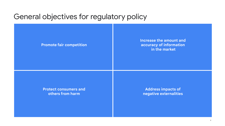# General objectives for regulatory policy

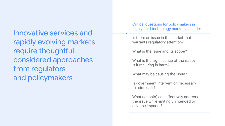Innovative services and rapidly evolving markets require thoughtful, considered approaches from regulators and policymakers

Critical questions for policymakers in highly fluid technology markets, include:

Is there an issue in the market that warrants regulatory attention?

What is the issue and its scope?

What is the significance of the issue? Is it resulting in harm?

What may be causing the issue?

Is government intervention necessary to address it?

What action(s) can effectively address the issue while limiting unintended or adverse impacts?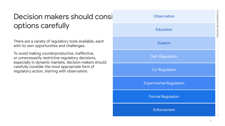# Decision makers should consider regulators and regulators regulators and regulators regulators regulators regulators and regulators regulators and regulators regulators regulators and regulators regulators regulators regul options carefully

There are a variety of regulatory tools available, each with its own opportunities and challenges.

To avoid making counterproductive, ineffective, or unnecessarily restrictive regulatory decisions, especially in dynamic markets, decision makers should carefully consider the most appropriate form of regulatory action, starting with observation.

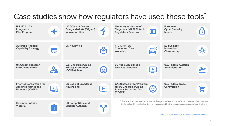# Case studies show how regulators have used these tools<sup>\*</sup>

| <b>U.S. FAA UAS</b><br>Integration<br><b>Pilot Program</b>                             |                 | UK Office of Gas and<br><b>Energy Markets (Ofgem)</b><br><b>Innovation Link</b> | -የ                    | <b>Monetary Authority of</b><br>Singapore (MAS) Fintech<br><b>Regulatory Sandbox</b>                    | 53                    | European<br><b>Cyber Security</b><br>Month                                                                                                                                             | <b>A</b>              |
|----------------------------------------------------------------------------------------|-----------------|---------------------------------------------------------------------------------|-----------------------|---------------------------------------------------------------------------------------------------------|-----------------------|----------------------------------------------------------------------------------------------------------------------------------------------------------------------------------------|-----------------------|
| Australia Financial<br><b>Capability Strategy</b>                                      | 一               | <b>UK NewsWise</b>                                                              | 8 <sup>o</sup>        | <b>FTC &amp; NHTSA</b><br><b>Connected Cars</b><br>Workshop                                             | $E_1^*$               | <b>EU Business</b><br>Innovation<br><b>Observatory</b>                                                                                                                                 | <u>-Ö.</u>            |
| <b>UK Ofcom Research</b><br>into Online Harms                                          | 2.              | U.S. Children's Online<br><b>Privacy Protection</b><br>(COPPA) Rule             | $\mathbf{\Theta}$     | <b>EU Audiovisual Media</b><br><b>Services Directive</b>                                                | $\blacktriangleright$ | <b>U.S. Federal Aviation</b><br>Administration                                                                                                                                         | $\blacktriangleright$ |
| <b>Internet Corporation for</b><br><b>Assigned Names and</b><br><b>Numbers (ICANN)</b> | <u>litin</u>    | <b>UK Code of Broadcast</b><br>Advertising                                      | $\blacktriangleright$ | <b>CARU Safe Harbor Program</b><br>for US Children's Online<br><b>Privacy Protection Act</b><br>(COPPA) | $\mathbf{G}$          | <b>U.S. Federal Trade</b><br>Commission                                                                                                                                                |                       |
| <b>Consumer Affairs</b><br><b>Victoria</b>                                             | П<br><b>COL</b> | <b>UK Competition and</b><br><b>Markets Authority</b>                           |                       |                                                                                                         |                       | *This deck does not seek to endorse the approaches in the selected case studies that are<br>included within each chapter, but to provide illustrations across a range of applications. |                       |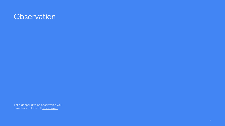# <span id="page-7-0"></span>**Observation**

For a deeper dive on observation you can check out the full <u>white paper.</u>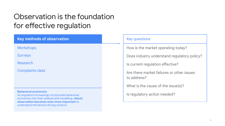# Observation is the foundation for effective regulation

| <b>Key methods of observation</b>                                                                                                                                                                                                | <b>Key questions</b>                                     |
|----------------------------------------------------------------------------------------------------------------------------------------------------------------------------------------------------------------------------------|----------------------------------------------------------|
| Workshops                                                                                                                                                                                                                        | How is the market operating today?                       |
| <b>Surveys</b>                                                                                                                                                                                                                   | Does industry understand regulatory policy?              |
| <b>Research</b>                                                                                                                                                                                                                  | Is current regulation effective?                         |
| <b>Complaints data</b>                                                                                                                                                                                                           | Are there market failures or other issues<br>to address? |
|                                                                                                                                                                                                                                  | What is the cause of the issue(s)?                       |
| <b>Behavioral economics</b><br>As regulators increasingly incorporate behavioral<br>economics into their analysis and modelling, robust<br>observation becomes even more important to<br>understand the factors driving conduct. | Is regulatory action needed?                             |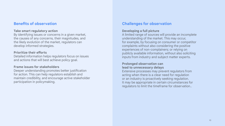# **Benefits of observation**

#### **Take smart regulatory action**

By identifying issues or concerns in a given market, the causes of any concerns, their magnitudes, and the likely evolution of the market, regulators can develop informed strategies.

#### **Prioritize their efforts**

Detailed information helps regulators focus on issues and actions that will best achieve policy goal.

### **Frame issues for stakeholders**

Deeper understanding promotes better justification for action. This can help regulators establish and maintain credibility, and encourage active stakeholder participation in policymaking.

# **Challenges for observation**

### **Developing a full picture**

A limited range of sources will provide an incomplete understanding of the market. This may occur, for example, by focusing on consumer or competitor complaints without also considering the positive experiences of non-complainers; or relying on publicly available information, without also soliciting inputs from industry and subject matter experts.

### **Prolonged observation can lead to unnecessary delays**

Extensive processes may prevent regulators from acting when there is a clear need for regulation or an industry is proactively seeking regulation. It may be appropriate in certain circumstances for regulators to limit the timeframe for observation..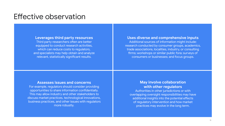# Effective observation

### **Leverages third party resources**

Third party researchers often are better equipped to conduct research activities, which can reduce costs to regulators, and specialists may help obtain and analyze relevant, statistically significant results.

### **Uses diverse and comprehensive inputs**

Additional sources of information might include: research conducted by consumer groups, academics, trade associations, localities, industry, or consulting firms; workshops or similar public fora; surveys of consumers or businesses; and focus groups.

# **Assesses issues and concerns**

For example, regulators should consider providing opportunities to share information confidentially. This may allow industry and other stakeholders to discuss market practices, technological innovations, business practices, and other issues with regulators more robustly.

# **May involve collaboration with other regulators**

Authorities in other jurisdictions or with overlapping oversight responsibilities may have additional insights into the potential effects of regulatory intervention and how market practices may evolve in the long term.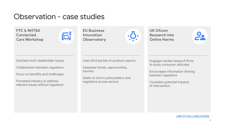# Observation - case studies

**FTC & NHTSA Connected Cars Workshop**



**EU Business Innovation Observatory**

 $-\frac{1}{2}$ 

**UK Ofcom Research into Online Harms** 



Solicited multi-stakeholder inputs

Collaboration between regulators

Focus on benefits and challenges

Prompted industry to address relevant issues without regulation. Uses third parties to produce reports

Assesses trends, opportunities, barriers

Seeks to inform policymakers and regulators across sectors

Engages market research firms to study consumer attitudes

Encourages information sharing between regulators

Considers potential impacts of intervention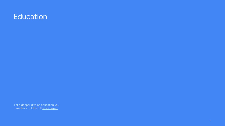# <span id="page-12-0"></span>**Education**

For a deeper dive on education you can check out the full <u>white paper.</u>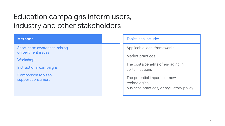# Education campaigns inform users, industry and other stakeholders

| <b>Methods</b>                                      | Topics can include:                                                                       |
|-----------------------------------------------------|-------------------------------------------------------------------------------------------|
| Short-term awareness-raising<br>on pertinent issues | Applicable legal frameworks<br>Market practices                                           |
| <b>Workshops</b><br>Instructional campaigns         | The costs/benefits of engaging in<br>certain actions                                      |
| Comparison tools to<br>support consumers            | The potential impacts of new<br>technologies,<br>business practices, or regulatory policy |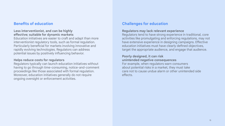# **Benefits of education**

### **Less interventionist, and can be highly effective; suitable for dynamic markets**

Education initiatives are easier to craft and adapt than more interventionist regulatory tools, such as formal regulation. Particularly beneficial for markets involving innovative and rapidly evolving technologies. Regulators can address potential issues by positively influencing behavior.

### **Helps reduce costs for regulators**

Regulators typically can launch education initiatives without having to go through time-consuming, notice-and-comment proceedings like those associated with formal regulation. Moreover, education initiatives generally do not require ongoing oversight or enforcement activities.

# **Challenges for education**

### **Regulators may lack relevant experience**

Regulators tend to have strong experience in traditional, core activities like promulgating and enforcing regulations, may not have extensive experience in designing campaigns. Effective education initiatives must have clearly defined objectives, target the appropriate audience, and engage that audience.

#### **Poorly designed, it can risk unintended negative consequences**

For example, when regulators warn consumers about potential risks in a market, they must take care not to cause undue alarm or other unintended side effects.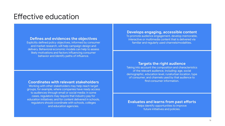# Effective education

### **Defines and evidences the objectives**

Explicitly defined policy objectives, informed by consumer and market research, will help campaign design and delivery. Behavioral economic models can help to assess likely motivations and factors influencing consumer behavior and identify paths of influence.

### **Coordinates with relevant stakeholders**

Working with other stakeholders may help reach target groups, for example, where companies have ready access to audiences through email or social media; in some cases, regulators may require that industry pay for education initiatives; and for content delivered in schools, regulators should coordinate with schools, colleges and education agencies.

### **Develops engaging, accessible content**

To promote audience engagement, develop memorable, interactive or multimedia content that is delivered via familiar and regularly used channels/modalities.

### **Targets the right audience**

Taking into account the composition and characteristics of the relevant audience, including: age, social demographic, education level, rural/urban location, type of consumer, and channels used by that audience to find consumer information.

**Evaluates and learns from past efforts** 

Helps identify opportunities to improve future initiatives and policies.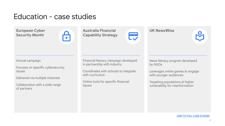# Education - case studies

**European Cyber Security Month**



**Australia Financial Capability Strategy**

# **UK NewsWise**

 $\bullet$ 

Annual campaign

Focuses on specific cybersecurity issues

Delivered via multiple channels

Collaboration with a wide range of partners

Financial literacy campaign developed in partnership with industry

Coordinates with schools to integrate with curriculum

Online tools for specific financial issues

News literacy program developed by NGOs

Leverages online games to engage with younger audiences

Targeting populations at higher vulnerability for misinformation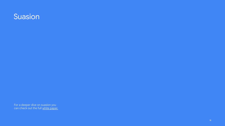# <span id="page-17-0"></span>Suasion

For a deeper dive on suasion you can check out the full <u>white paper.</u>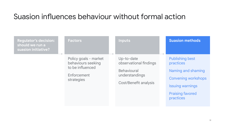# Suasion influences behaviour without formal action

| <b>Regulator's decision:</b><br>should we run a<br>suasion initiative? | <b>Factors</b>                                                                               | <b>Inputs</b>                                                                                         | <b>Suasion methods</b>                                                                                                                                     |
|------------------------------------------------------------------------|----------------------------------------------------------------------------------------------|-------------------------------------------------------------------------------------------------------|------------------------------------------------------------------------------------------------------------------------------------------------------------|
|                                                                        | Policy goals - market<br>behaviours seeking<br>to be influenced<br>Enforcement<br>strategies | Up-to-date<br>observational findings<br><b>Behavioural</b><br>understandings<br>Cost/Benefit analysis | <b>Publishing best</b><br>practices<br>Naming and shaming<br><b>Convening workshops</b><br><b>Issuing warnings</b><br><b>Praising favored</b><br>practices |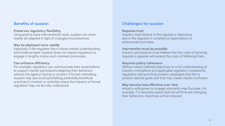# **Benefits of suasion**

### **Preserves regulatory flexibility**

Compared to more interventionist tools, suasion can more readily be adapted in light of changed circumstances.

#### **May be deployed more rapidly**

Especially if the regulator has a robust market understanding and evidence base. Suasion does not require regulators to engage in lengthy notice-and-comment processes.

#### **Can enhance efficiency**

For example, regulators can communicate their expectations to support market participants adapting their behaviors without the agency having to conduct a formal rulemaking. Suasion may also avoid prohibiting potentially beneficial practices in markets or activities where the impacts of formal regulation may not be fully understood.

# **Challenges for suasion**

#### **Requires trust**

Industry must believe in the regulatory objectives, and in the regulator's compliance expectations or enforcement priorities.

#### **Intervention must be possible**

Industry participants must believe that the costs of ignoring regulatory appeals will exceed the costs of following them.

#### **Requires policy coherence**

Without clearly defined objectives or a full understanding of industry motivations and applicable regulatory frameworks, regulators risk launching suasion campaigns that fail to achieve desired goals and that may create market confusion.

#### **May become less effective over time**

Industry willingness to engage voluntarily may fluctuate. For example, if it becomes aware that not all firms are changing their behaviors, incentives will be reduced.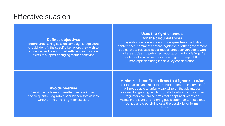# Effective suasion

#### **Defines objectives**

Before undertaking suasion campaigns, regulators should identify the specific behaviors they wish to influence, and confirm that sufficient justification exists to support changing market behavior.

### **Uses the right channels for the circumstances**

Regulators can deploy suasion via speeches at industry conferences, comments before legislative or other government bodies, press releases, social media, direct conversations with market participants, published reports, or media briefings. As statements can move markets and greatly impact the marketplace, timing is also a key consideration.

### **Avoids overuse**

Suasion efforts may lose effectiveness if used too frequently. Regulators should therefore assess whether the time is right for suasion.

### **Minimizes benefits to firms that ignore suasion**

Market participants must feel confident that "non-compliers" will not be able to unfairly capitalize on the advantages obtained by ignoring regulatory calls to adopt best practices. Regulators can praise firms that adopt best practices, maintain pressure on and bring public attention to those that do not, and credibly indicate the possibility of formal regulation.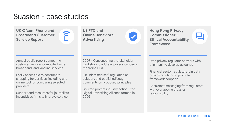# Suasion - case studies

**UK Ofcom Phone and Broadband Customer Service Report** 

î

**US FTC and Online Behavioral Advertising** 

**Hong Kong Privacy Commissioner - Ethical Accountability Framework**

Annual public report comparing customer service for mobile, home broadband, and landline services

Easily accessible to consumers shopping for services, including and online tool for comparing selected providers

Support and resources for journalists Incentivises firms to improve service

2007 - Convened multi-stakeholder workshop to address privacy concerns regarding OBA

FTC identified self-regulation as solution, and published/sought comments on proposed principles

Spurred prompt industry action - the Digital Advertising Alliance formed in 2009

Data privacy regulator partners with think tank to develop guidance

Financial sector regulators join data privacy regulator to promote framework adoption

Consistent messaging from regulators with overlapping areas or responsibility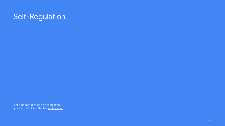# <span id="page-22-0"></span>Self-Regulation

For a deeper dive on self-regulation you can check out the full <u>white paper.</u>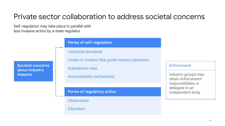# Private sector collaboration to address societal concerns

Self-regulation may take place in parallel with less invasive action by a state regulator

**Societal concerns about industry impacts**

# **Forms of self-regulation**

Technical standards

Codes of conduct that guide industry behaviors

Substantive rules

Accountability mechanisms

# **Forms of regulatory action**

**Observation** 

**Education** 

### Enforcement

Industry groups may retain enforcement responsibilities or delegate to an independent body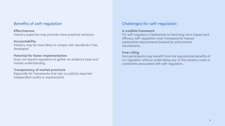# **Benefits of self-regulation**

### **Effectiveness**

Industry expertise may promote more practical solutions

### **Accountability**

Industry may be more likely to comply with standards it has developed

# **Potential for faster implementation**

Does not require regulators to gather an evidence base and market understanding

# **Transparency of market practices**

Especially for frameworks that rely on publicly reported independent audits or assessments

# **Challenges for self-regulation**

### **A credible framework**

For self-regulatory frameworks to have long-term impact and efficacy, self-regulation must transparently impose substantive requirements backed by enforcement mechanisms.

# **Free-riding**

Non participants may benefit from the reputational benefits of co-regulation without undertaking any of the industry costs or constraints associated with self-regulation.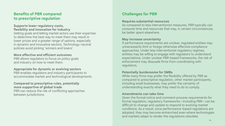# **Benefits of PBR compared to prescriptive regulation**

#### **Supports lower regulatory costs, flexibility and innovation for industry**

Setting goals and letting market actors use their expertise to determine the best way to meet them may result in lower prices and a greater range of options, especially in dynamic and innovative sectors. Technology-neutral policies avoid picking 'winners and losers'.

### **More effective and efficient outcomes**

PBR allows regulators to focus on policy goals and industry on how to meet them.

### **Appropriate for dynamic or evolving sectors**

PBR enables regulators and industry participants to accommodate market and technological developments

**Compared to prescriptive rules, potentially more supportive of global trade** PBR can reduce the risk of conflicting approaches between jurisdictions.

# **Challenges for PBR**

### **Requires substantial resources**

As compared to less interventionist measures, PBR typically can consume time and resources that may, in certain circumstances, be better spent elsewhere.

### **May increase uncertainty**

If performance requirements are unclear, regulated entities may unnecessarily limit or forego otherwise effective compliance approaches. Under less interventionist regulatory regimes, entities may be willing to engage with regulators to understand expectations. Under unclear PBR-based frameworks, the risk of enforcement may dissuade firms from coordinating with regulators.

### **Potentially burdensome for SMBs**

While many firms may prefer the flexibility offered by PBR as compared to prescriptive regulation, other market participants, including small businesses, may prefer the certainty of understanding exactly what they need to do to comply.

### **Amendments can take time**

Given the formal notice and comment process requirements for formal regulation, regulatory frameworks—including PBR—can be difficult to change and update to respond to evolving market conditions. As a result, once performance-based regulations are adopted, they may become entrenched even where technologies and markets adapt to render the regulations obsolete.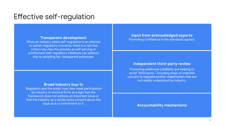# Effective self-regulation

### **Transparent development**

When an industry seeks self-regulation in an attempt to satisfy regulatory concerns, there is a risk that critics may view the process as self-serving or uninformed. Self-regulatory initiatives can address this by adopting fair, transparent processes.

### **Broad industry buy-in**

Regulators and the public may view weak participation by industry or sectoral firms as a sign that the framework does not address an important issue or that the industry, as a whole, lacks concern about the issue and a commitment to it.

**Input from acknowledged experts**  Promoting confidence in the standards agreed.

### **Independent third-party review**

Promoting additional credibility and helping to avoid "blind spots," including areas of potential concern to regulators/other stakeholders that are not readily understood by industry.

**Accountability mechanisms**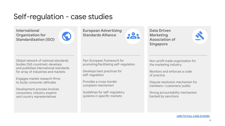# Self-regulation - case studies

**International Organization for Standardization (ISO)**



**European Advertising Standards Alliance**

**Data Driven Marketing Association of Singapore**



Global network of national standards bodies (165 countries)-develops and publishes international standards for array of industries and markets

Engages market research firms to study consumer attitudes

Development process involves consumers, industry experts and country representatives

Pan-European framework for promoting/facilitating self-regulation

Develops best practices for self-regulation

Provides a cross-border complaint mechanism

Guidelines for self-regulatory systems in specific markets

Non-profit trade organization for the marketing industry

Monitors and enforces a code of practice

Dispute resolution mechanism for members / customers/ public

Strong accountability mechanism backed by sanctions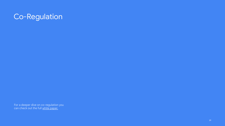# <span id="page-28-0"></span>Co-Regulation

For a deeper dive on co-regulation you can check out the full <u>white paper.</u>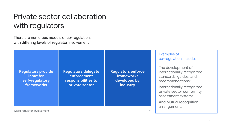# Private sector collaboration with regulators

There are numerous models of co-regulation, with differing levels of regulator involvement

**Regulators provide input for self-regulatory frameworks**

**Regulators delegate enforcement responsibilities to private sector**

**Regulators enforce frameworks developed by industry**

Examples of co-regulation include:

The development of internationally recognized standards, guides, and recommendations;

Internationally recognized private sector conformity assessment systems;

And Mutual recognition arrangements.

More regulator involvement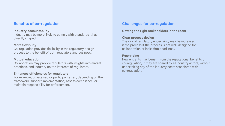# **Benefits of co-regulation**

### **Industry accountability**

Industry may be more likely to comply with standards it has directly shaped.

### **More flexibility**

Co-regulation provides flexibility in the regulatory design process to the benefit of both regulators and business.

### **Mutual education**

Collaboration may provide regulators with insights into market practices, and industry on the interests of regulators.

# **Enhances efficiencies for regulators**

For example, private sector participants can, depending on the framework, support implementation, assess compliance, or maintain responsibility for enforcement.

# **Challenges for co-regulation**

# **Getting the right stakeholders in the room**

### **Clear process design**

The risk of regulatory uncertainty may be increased if the process If the process is not well-designed for collaboration or lacks firm deadlines..

### **Free-riding**

New entrants may benefit from the reputational benefits of co-regulation, if they are shared by all industry actors, without undertaking any of the industry costs associated with co-regulation.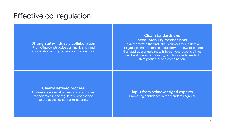# Effective co-regulation

### **Strong state-industry collaboration**

Promoting constructive communication and cooperation among private and state actors.

# **Clear standards and accountability mechanisms**

To demonstrate that industry is subject to substantial obligations and that the co-regulatory framework is more than aspirational guidance. Enforcement responsibilities can be allocated to industry, regulators, independent third parties, or to a combination.

### **Clearly defined process**

All stakeholders must understand and commit to their roles in the regulatory process and to the deadlines set for milestones.

### **Input from acknowledged experts**  Promoting confidence in the standards agreed.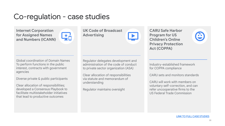# Co-regulation - case studies

**Internet Corporation for Assigned Names and Numbers (ICANN)**

Ķ,

**UK Code of Broadcast Advertising**

**CARU Safe Harbor Program for US Children's Online Privacy Protection Act (COPPA)**



Global coordination of Domain Names To perform functions in the public interest, contracts with government agencies

Diverse private & public participants

Clear allocation of responsibilities; developed a Consensus Playbook to facilitate multistakeholder initiatives that lead to productive outcomes

Regulator delegates development and administration of the code of conduct to private sector organization (ASA)

Clear allocation of responsibilities via statute and memorandum of understanding

Regulator maintains oversight

Industry-established framework for COPPA compliance

CARU sets and monitors standards

CARU will work with members on voluntary self-correction, and can refer uncooperative firms to the US Federal Trade Commission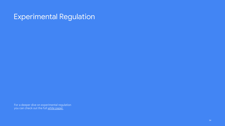# <span id="page-33-0"></span>Experimental Regulation

For a deeper dive on experimental regulation you can check out the full <u>white paper.</u>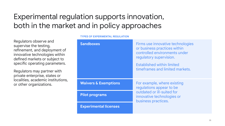# Experimental regulation supports innovation, both in the market and in policy approaches

Regulators observe and supervise the testing, refinement, and deployment of innovative technologies within defined markets or subject to specific operating parameters.

Regulators may partner with private enterprise, states or localities, academic institutions, or other organizations.

# **Sandboxes Firms** use innovative technologies or business practices within controlled environments under regulatory supervision. Established within limited timeframes and limited markets. **Waivers & Exemptions** For example, where existing regulations appear to be outdated or ill-suited for innovative technologies or business practices. **Pilot programs Experimental licenses**

#### **TYPES OF EXPERIMENTAL REGULATION**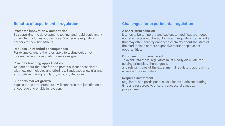# **Benefits of experimental regulation**

#### **Promotes innovation & competition**

By supporting the development, testing, and rapid deployment of new technologies and services. May reduce regulatory barriers for new firms/SMBs.

### **Reduces unintended consequences**

For example, where the rules apply to technologies, not foreseen when the regulations were designed.

### **Provides teaching opportunities**

To learn about the benefits and potential issues associated with new technologies and offerings. Sandboxes allow trial and error before making regulatory or policy decisions.

### **Supports market growth**

Signals to the entrepreneurs a willingness in that jurisdiction to encourage and enable innovation.

# **Challenges for experimental regulation**

### **A short-term solution**

It tends to be temporary and subject to modification; it does not take the place of broad, long-term regulatory frameworks that may offer industry enhanced certainty about the state of the marketplace or more expansive market deployment opportunities.

### **Criticism if not transparent**

To avoid unfairness, regulators must clearly articulate the guiding principles, shared goals, and relevant rules of the experimental regulatory approach to all relevant stakeholders.

### **Requires investment**

Regulators and participants must allocate sufficient staffing, time and resources to ensure a successful sandbox programme.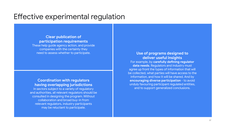# Effective experimental regulation

# **Clear publication of participation requirements**

These help guide agency action, and provide companies with the certainty they need to assess whether to participate. **Use of programs designed to** 

# **Coordination with regulators having overlapping jurisdictions**

In sectors subject to a variety of regulatory and authorities, all relevant regulators should be consulted in designing the program. Without collaboration and broad buy-in from relevant regulators, industry participants may be reluctant to participate.

# **deliver useful insights**

For example, by **carefully defining regulator data needs**. Regulators and industry must agree up front the types of information that will be collected, what parties will have access to the information, and how it will be shared. And by **encouraging diverse participation** - to avoid unduly favouring participant regulated entities, and to support generalized conclusions.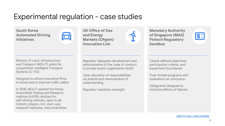# Experimental regulation - case studies

**South Korea Automated Driving Initiatives**



Ministry of Land, Infrastructure and Transport (MOLIT) pilots for cooperative-Intelligent Transport Systems (C-ITS)

Designed to attract innovative firms to Korea and to improve traffic safety

In 2018, MOLIT opened the Korea Automobile Testing and Research Institute (KATRI)-testbed for self-driving vehicles, open to all industry players, incl. start-ups, research institutes, and universities **UK Office of Gas and Energy Markets (Ofgem) Innovation Link**

**Monetary Authority of Singapore (MAS) Fintech Regulatory Sandbox**



Regulator delegates development and administration of the code of conduct to private sector organization (ASA)

Clear allocation of responsibilities via statute and memorandum of understanding

Regulator maintains oversight

Clearly defined objectives, participation criteria, and experiment boundaries

Time-limited programs with evaluations at conclusion

Safeguards designed to minimize effects of failures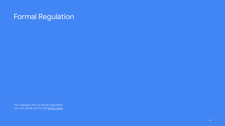# <span id="page-38-0"></span>Formal Regulation

For a deeper dive on formal regulation you can check out the full <u>white paper.</u>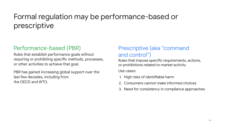# Formal regulation may be performance-based or prescriptive

# Performance-based (PBR)

Rules that establish performance goals without requiring or prohibiting specific methods, processes, or other activities to achieve that goal.

PBR has gained increasing global support over the last few decades, including from the OECD and WTO.

# Prescriptive (aka "command and control")

Rules that impose specific requirements, actions, or prohibitions related to market activity

Use cases:

- 1. High risks of identifiable harm
- 2. Consumers cannot make informed choices
- 3. Need for consistency in compliance approaches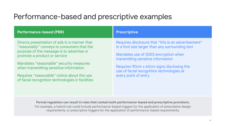# Performance-based and prescriptive examples

| <b>Performance-based (PBR)</b>                                                                                                                                                                                                                                                                                                                                  | <b>Prescriptive</b>                                                                                                                                                                                                                                                                                    |
|-----------------------------------------------------------------------------------------------------------------------------------------------------------------------------------------------------------------------------------------------------------------------------------------------------------------------------------------------------------------|--------------------------------------------------------------------------------------------------------------------------------------------------------------------------------------------------------------------------------------------------------------------------------------------------------|
| Directs presentation of ads in a manner that<br>"reasonably" conveys to consumers that the<br>purpose of the message is to advertise or<br>promote a product or service<br>Mandates "reasonable" security measures<br>when transmitting sensitive information<br>Requires "reasonable" notice about the use<br>of facial recognition technologies in facilities | Requires disclosure that "this is an advertisement"<br>in a font size larger than any surrounding text<br>Mandates use of 3DES encryption when<br>transmitting sensitive information<br>Requires 90cm x 60cm signs disclosing the<br>use of facial recognition technologies at<br>every point of entry |

**Formal regulation can result in rules that contain both performance-based and prescriptive provisions.**  For example, a hybrid rule could include performance-based triggers for the application of prescriptive design requirements, or prescriptive triggers for the application of performance-based requirements.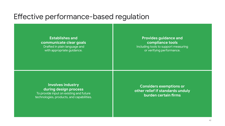# Effective performance-based regulation

**Establishes and communicate clear goals** Drafted in plain language and with appropriate guidance.

# **Provides guidance and compliance tools** Including tools to support measuring or verifying performance.

# **Involves industry during design process**  To provide input on existing and future technologies, products, and capabilities.

**Considers exemptions or other relief if standards unduly burden certain firms**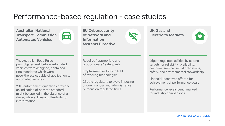# Performance-based regulation - case studies

**Australian National Transport Commission Automated Vehicles**



**EU Cybersecurity of Network and Information Systems Directive**



**UK Gas and Electricity Markets**



The Australian Road Rules, promulgated well before automated vehicles were designed, contained PBR standards which were nevertheless capable of application to automated vehicles

2017 enforcement guidelines provided an indication of how the standard might be applied in the absence of a driver, while still leaving flexibility for interpretation

Requires "appropriate and proportionate" safeguards

Emphasizes flexibility in light of evolving technologies

Directs regulators to avoid imposing undue financial and administrative burdens on regulated firms

Ofgem regulates utilities by setting targets for reliability, availability, customer service, social obligations, safety, and environmental stewardship

Financial incentives offered for achievement of performance goals

Performance levels benchmarked for industry comparisons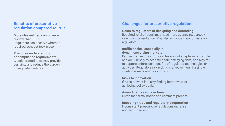# **Benefits of prescriptive regulation compared to PBR**

#### **More streamlined compliance review than PBR** Regulators can observe whether required conduct took place.

**Promotes understanding of compliance requirements** Clearly drafted rules may provide certainty and reduce the burden on regulated entities.

# **Challenges for prescriptive regulation**

### **Costs to regulators of designing and defending**

Required level of detail may need more agency resources / significant consultation. May also enhance litigation risks for regulators.

### **Inefficiencies, especially in dynamic/evolving markets**

By their nature, prescriptive rules are not adaptable or flexible, and are. unlikely to accommodate emerging risks, and may fail to capture unforeseen benefits of regulated technologies or activities. Regulators risk picking market winners if a single solution is mandated for industry.

### **Risks to innovation**

If rules prevent industry finding better ways of achieving policy goals.

#### **Amendments can take time**

Given the formal notice and comment process.

#### **Impeding trade and regulatory cooperation** Inconsistent prescriptive regulations increase non-tariff barriers.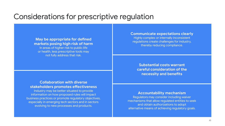# Considerations for prescriptive regulation

### **May be appropriate for defined markets posing high risk of harm**  In areas of higher risk to public life or health, less prescriptive tools may not fully address that risk.

#### **Communicate expectations clearly**

Highly complex or internally inconsistent regulations create challenges for industry, thereby reducing compliance.

**Substantial costs warrant careful consideration of the necessity and benefits**

# **Collaboration with diverse stakeholders promotes effectiveness**

Industry may be better situated to provide information on how proposed rules will impact business practices or promote regulatory objectives, especially in emerging tech sectors and in sectors evolving to new processes and products.

### **Accountability mechanism**

Regulators may consider including waiver mechanisms that allow regulated entities to seek and obtain authorizations to adopt alternative means of achieving regulatory goals.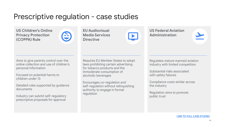# Prescriptive regulation - case studies

**US Children's Online Privacy Protection (COPPA) Rule**



**EU Audiovisual Media Services Directive**

**US Federal Aviation Administration**



Aims to give parents control over the online collection and use of children's personal information

Focused on potential harms to children under 13

Detailed rules supported by guidance documents

Industry can submit self-regulatory prescriptive proposals for approval

Requires EU Member States to adopt laws prohibiting certain advertising for tobacco products and the immoderate consumption of alcoholic beverages

Encourages co-regulation and self-regulation without relinquishing authority to engage in formal regulation

Regulates mature manned aviation industry with limited competition

Substantial risks associated with safety failures

Compliance costs similar across the industry

Regulation aims to promote public trust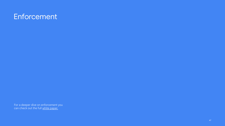# <span id="page-46-0"></span>**Enforcement**

For a deeper dive on enforcement you can check out the full <u>white paper.</u>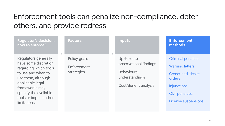# Enforcement tools can penalize non-compliance, deter others, and provide redress

| <b>Regulator's decision:</b><br>how to enforce?                                                                                                                                                                           | <b>Factors</b>                            | <b>Inputs</b>                                                                                         | <b>Enforcement</b><br>methods                                                                                                                                   |
|---------------------------------------------------------------------------------------------------------------------------------------------------------------------------------------------------------------------------|-------------------------------------------|-------------------------------------------------------------------------------------------------------|-----------------------------------------------------------------------------------------------------------------------------------------------------------------|
| Regulators generally<br>have some discretion<br>regarding which tools<br>to use and when to<br>use them, although<br>applicable legal<br>frameworks may<br>specify the available<br>tools or impose other<br>limitations. | Policy goals<br>Enforcement<br>strategies | Up-to-date<br>observational findings<br><b>Behavioural</b><br>understandings<br>Cost/Benefit analysis | <b>Criminal penalties</b><br><b>Warning letters</b><br>Cease-and-desist<br><b>orders</b><br><b>Injunctions</b><br><b>Civil penalties</b><br>License suspensions |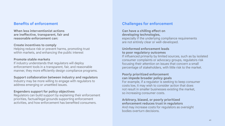# **Benefits of enforcement**

**When less interventionist actions are ineffective, transparent, fair and reasonable enforcement can:**

#### **Create incentives to comply**

Helping reduce risk or prevent harms, promoting trust within markets, and enhancing the public interest

### **Promote stable markets**

If industry understands that regulators will deploy enforcement tools in a transparent, fair, and reasonable manner, they more efficiently design compliance programs.

#### **Support collaboration between industry and regulators**

Industry may be more willing to engage with regulators to address emerging or unsettled issues.

#### **Engenders support for policy objectives**

Regulators can build support by explaining their enforcement priorities, factual/legal grounds supporting enforcement activities, and how enforcement has benefited consumers.

# **Challenges for enforcement**

#### **Can have a chilling effect on developing technologies,**

especially if the underlying compliance requirements are not entirely clear or well-developed.

### **Uninformed enforcement leads to poor regulatory outcomes**

If influenced primarily by limited sources, such as by isolated consumer complaints or advocacy groups, regulators risk focusing their attention on issues that concern a small percentage of stakeholders, with little risk to the market.

### **Poorly prioritized enforcement can impede broader policy goals**

For example, if a regulator is seeking to keep consumer costs low, it may wish to consider action that does not result in smaller businesses existing the market, so increasing consumer costs.

### **Arbitrary, biased, or poorly prioritized**

**enforcement reduces trust in regulators**  And may increase costs for regulators as oversight bodies overturn decisions.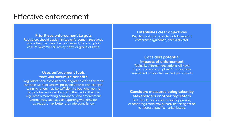# Effective enforcement

#### **Prioritizes enforcement targets**

Regulators should deploy limited enforcement resources where they can have the most impact, for example in case of systemic failures by a firm or group of firms.

# **Uses enforcement tools that will maximize benefits**

Regulators should consider the degree to which the tools available will help achieve policy objectives. For example, warning letters may be sufficient to both change the target's behaviors and signal to the market that the regulator is monitoring compliance. And enforcement alternatives, such as self-reporting with time for correction, may better promote compliance.

#### **Establishes clear objectives**

Regulators should provide tools to support compliance (guidance, checklists etc).

### **Considers potential impacts of enforcement**

Typically, enforcement actions will have impacts on non-compliant firms, and also current and prospective market participants.

# **Considers measures being taken by stakeholders or other regulators**

Self-regulatory bodies, advocacy groups, or other regulators may already be taking action to address specific market issues.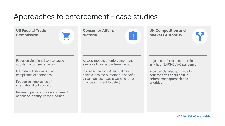# Approaches to enforcement - case studies

**US Federal Trade Commission**

Focus on violations likely to cause substantial consumer injury

Educate industry regarding compliance expectations

Recognize importance of international collaboration

Review impacts of prior enforcement actions to identity lessons learned

**Consumer Affairs Victoria**

|  | O |  |
|--|---|--|
|  | Е |  |
|  |   |  |
|  |   |  |

Assess impacts of enforcement and available tools before taking action

Consider the tool(s) that will best achieve desired outcomes in specific circumstances (e.g., a warning letter may be sufficient to deter)

**UK Competition and Markets Authority**

Adjusted enforcement priorities in light of SARS-CoV-2 pandemic

Provided detailed guidance to educate firms about shift in enforcement approach and priorities

KX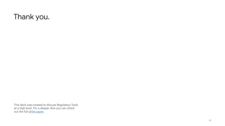# Thank you.

This deck was created to discuss Regulatory Tools at a high level. For a deeper dive you can check out the full white paper.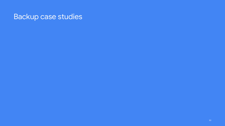# Backup case studies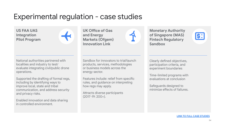# Experimental regulation - case studies

**US FAA UAS Integration Pilot Program**

National authorities partnered with localities and industry to test/ evaluate integrating civil/public drone operations.

Supported the drafting of formal regs, including by identifying ways to improve local, state and tribal communication, and address security and privacy risks.

Enabled innovation and data sharing in controlled environment.

**UK Office of Gas and Energy Markets (Ofgem) Innovation Link**

**Monetary Authority of Singapore (MAS) Fintech Regulatory Sandbox**



Sandbox for innovators to trial/launch products, services, methodologies or business models across the energy sector.

Features include: relief from specific rules, and guidance on interpreting how regs may apply.

Attracts diverse participants (2017-19: 200+).

Clearly defined objectives, participation criteria, and experiment boundaries

Time-limited programs with evaluations at conclusion

Safeguards designed to minimize effects of failures.